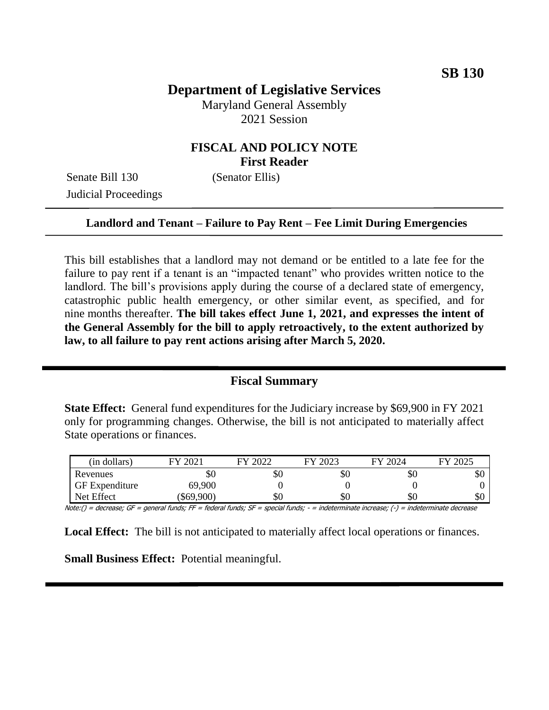# **Department of Legislative Services**

Maryland General Assembly 2021 Session

## **FISCAL AND POLICY NOTE First Reader**

Senate Bill 130 (Senator Ellis) Judicial Proceedings

#### **Landlord and Tenant – Failure to Pay Rent – Fee Limit During Emergencies**

This bill establishes that a landlord may not demand or be entitled to a late fee for the failure to pay rent if a tenant is an "impacted tenant" who provides written notice to the landlord. The bill's provisions apply during the course of a declared state of emergency, catastrophic public health emergency, or other similar event, as specified, and for nine months thereafter. **The bill takes effect June 1, 2021, and expresses the intent of the General Assembly for the bill to apply retroactively, to the extent authorized by law, to all failure to pay rent actions arising after March 5, 2020.**

#### **Fiscal Summary**

**State Effect:** General fund expenditures for the Judiciary increase by \$69,900 in FY 2021 only for programming changes. Otherwise, the bill is not anticipated to materially affect State operations or finances.

| (in dollars)          | $202^{\circ}$<br>FV | 2022 | 2023<br>FУ | FY 2024 | 2025<br>FУ |
|-----------------------|---------------------|------|------------|---------|------------|
| Revenues              | \$0                 | \$0  | эU         | эU      | \$0        |
| <b>GF</b> Expenditure | 69,900              |      |            |         |            |
| Net Effect            | \$69,900            | \$0  | ЭU         | \$0     | \$0        |

Note:() = decrease; GF = general funds; FF = federal funds; SF = special funds; - = indeterminate increase; (-) = indeterminate decrease

**Local Effect:** The bill is not anticipated to materially affect local operations or finances.

**Small Business Effect:** Potential meaningful.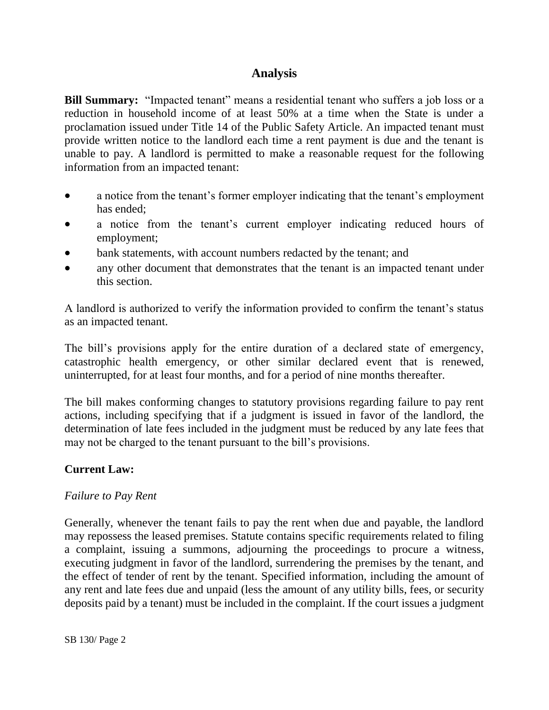## **Analysis**

**Bill Summary:** "Impacted tenant" means a residential tenant who suffers a job loss or a reduction in household income of at least 50% at a time when the State is under a proclamation issued under Title 14 of the Public Safety Article. An impacted tenant must provide written notice to the landlord each time a rent payment is due and the tenant is unable to pay. A landlord is permitted to make a reasonable request for the following information from an impacted tenant:

- a notice from the tenant's former employer indicating that the tenant's employment has ended;
- a notice from the tenant's current employer indicating reduced hours of employment;
- bank statements, with account numbers redacted by the tenant; and
- any other document that demonstrates that the tenant is an impacted tenant under this section.

A landlord is authorized to verify the information provided to confirm the tenant's status as an impacted tenant.

The bill's provisions apply for the entire duration of a declared state of emergency, catastrophic health emergency, or other similar declared event that is renewed, uninterrupted, for at least four months, and for a period of nine months thereafter.

The bill makes conforming changes to statutory provisions regarding failure to pay rent actions, including specifying that if a judgment is issued in favor of the landlord, the determination of late fees included in the judgment must be reduced by any late fees that may not be charged to the tenant pursuant to the bill's provisions.

## **Current Law:**

## *Failure to Pay Rent*

Generally, whenever the tenant fails to pay the rent when due and payable, the landlord may repossess the leased premises. Statute contains specific requirements related to filing a complaint, issuing a summons, adjourning the proceedings to procure a witness, executing judgment in favor of the landlord, surrendering the premises by the tenant, and the effect of tender of rent by the tenant. Specified information, including the amount of any rent and late fees due and unpaid (less the amount of any utility bills, fees, or security deposits paid by a tenant) must be included in the complaint. If the court issues a judgment